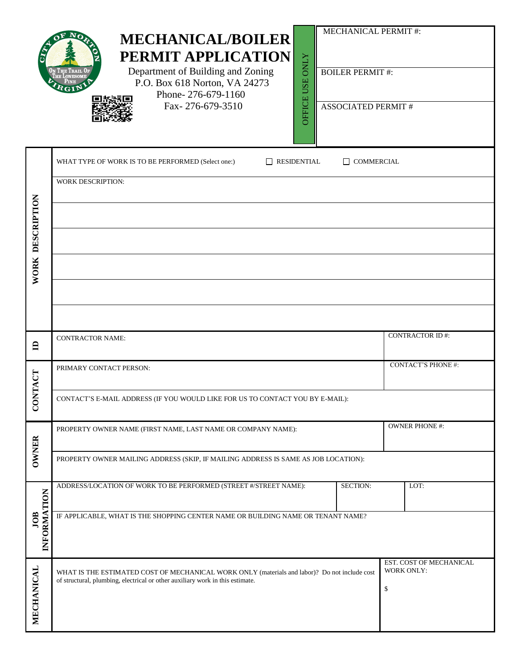|                    | <b>MECHANICAL PERMIT#:</b><br><b>MECHANICAL/BOILER</b><br>PERMIT APPLICATION<br><b>ONLY</b><br>Department of Building and Zoning<br><b>BOILER PERMIT#:</b><br><b>USE</b><br>P.O. Box 618 Norton, VA 24273<br>Phone-276-679-1160<br>OFFICE<br>Fax-276-679-3510<br><b>ASSOCIATED PERMIT#</b> |                                             |  |  |  |  |
|--------------------|--------------------------------------------------------------------------------------------------------------------------------------------------------------------------------------------------------------------------------------------------------------------------------------------|---------------------------------------------|--|--|--|--|
|                    | RESIDENTIAL<br>WHAT TYPE OF WORK IS TO BE PERFORMED (Select one:)<br>$\Box$ COMMERCIAL<br>WORK DESCRIPTION:                                                                                                                                                                                |                                             |  |  |  |  |
| WORK DESCRIPTION   |                                                                                                                                                                                                                                                                                            |                                             |  |  |  |  |
| $\mathbf{\Xi}$     | <b>CONTRACTOR NAME:</b>                                                                                                                                                                                                                                                                    | <b>CONTRACTOR ID#:</b>                      |  |  |  |  |
| <b>VTACT</b>       | PRIMARY CONTACT PERSON:                                                                                                                                                                                                                                                                    | <b>CONTACT'S PHONE #:</b>                   |  |  |  |  |
| $\overline{5}$     | CONTACT'S E-MAIL ADDRESS (IF YOU WOULD LIKE FOR US TO CONTACT YOU BY E-MAIL):                                                                                                                                                                                                              |                                             |  |  |  |  |
|                    | PROPERTY OWNER NAME (FIRST NAME, LAST NAME OR COMPANY NAME):                                                                                                                                                                                                                               | OWNER PHONE #:                              |  |  |  |  |
| <b>OWNER</b>       | PROPERTY OWNER MAILING ADDRESS (SKIP, IF MAILING ADDRESS IS SAME AS JOB LOCATION):                                                                                                                                                                                                         |                                             |  |  |  |  |
|                    | <b>SECTION:</b><br>ADDRESS/LOCATION OF WORK TO BE PERFORMED (STREET #/STREET NAME):                                                                                                                                                                                                        | LOT:                                        |  |  |  |  |
| INFORMATION<br>JOB | IF APPLICABLE, WHAT IS THE SHOPPING CENTER NAME OR BUILDING NAME OR TENANT NAME?                                                                                                                                                                                                           |                                             |  |  |  |  |
| MECHANICAL         | WHAT IS THE ESTIMATED COST OF MECHANICAL WORK ONLY (materials and labor)? Do not include cost<br>of structural, plumbing, electrical or other auxiliary work in this estimate.                                                                                                             | EST. COST OF MECHANICAL<br>WORK ONLY:<br>\$ |  |  |  |  |